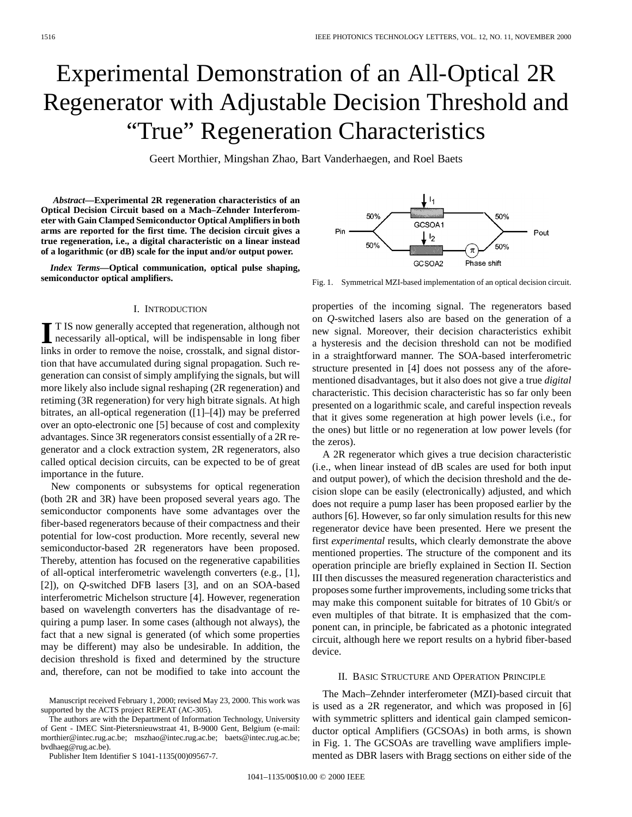# Experimental Demonstration of an All-Optical 2R Regenerator with Adjustable Decision Threshold and "True" Regeneration Characteristics

Geert Morthier, Mingshan Zhao, Bart Vanderhaegen, and Roel Baets

*Abstract—***Experimental 2R regeneration characteristics of an Optical Decision Circuit based on a Mach–Zehnder Interferometer with Gain Clamped Semiconductor Optical Amplifiers in both arms are reported for the first time. The decision circuit gives a true regeneration, i.e., a digital characteristic on a linear instead of a logarithmic (or dB) scale for the input and/or output power.**

*Index Terms—***Optical communication, optical pulse shaping, semiconductor optical amplifiers.**

### I. INTRODUCTION

**I** T IS now generally accepted that regeneration, although not necessarily all-optical, will be indispensable in long fiber links in order to remove the noise, crosstalk, and signal distortion that have accumulated during signal propagation. Such regeneration can consist of simply amplifying the signals, but will more likely also include signal reshaping (2R regeneration) and retiming (3R regeneration) for very high bitrate signals. At high bitrates, an all-optical regeneration ([1]–[4]) may be preferred over an opto-electronic one [5] because of cost and complexity advantages. Since 3R regenerators consist essentially of a 2R regenerator and a clock extraction system, 2R regenerators, also called optical decision circuits, can be expected to be of great importance in the future.

New components or subsystems for optical regeneration (both 2R and 3R) have been proposed several years ago. The semiconductor components have some advantages over the fiber-based regenerators because of their compactness and their potential for low-cost production. More recently, several new semiconductor-based 2R regenerators have been proposed. Thereby, attention has focused on the regenerative capabilities of all-optical interferometric wavelength converters (e.g., [1], [2]), on *Q*-switched DFB lasers [3], and on an SOA-based interferometric Michelson structure [4]. However, regeneration based on wavelength converters has the disadvantage of requiring a pump laser. In some cases (although not always), the fact that a new signal is generated (of which some properties may be different) may also be undesirable. In addition, the decision threshold is fixed and determined by the structure and, therefore, can not be modified to take into account the

The authors are with the Department of Information Technology, University of Gent - IMEC Sint-Pietersnieuwstraat 41, B-9000 Gent, Belgium (e-mail: morthier@intec.rug.ac.be; mszhao@intec.rug.ac.be; baets@intec.rug.ac.be; bvdhaeg@rug.ac.be).

Publisher Item Identifier S 1041-1135(00)09567-7.



Fig. 1. Symmetrical MZI-based implementation of an optical decision circuit.

properties of the incoming signal. The regenerators based on *Q*-switched lasers also are based on the generation of a new signal. Moreover, their decision characteristics exhibit a hysteresis and the decision threshold can not be modified in a straightforward manner. The SOA-based interferometric structure presented in [4] does not possess any of the aforementioned disadvantages, but it also does not give a true *digital* characteristic. This decision characteristic has so far only been presented on a logarithmic scale, and careful inspection reveals that it gives some regeneration at high power levels (i.e., for the ones) but little or no regeneration at low power levels (for the zeros).

A 2R regenerator which gives a true decision characteristic (i.e., when linear instead of dB scales are used for both input and output power), of which the decision threshold and the decision slope can be easily (electronically) adjusted, and which does not require a pump laser has been proposed earlier by the authors [6]. However, so far only simulation results for this new regenerator device have been presented. Here we present the first *experimental* results, which clearly demonstrate the above mentioned properties. The structure of the component and its operation principle are briefly explained in Section II. Section III then discusses the measured regeneration characteristics and proposes some further improvements, including some tricks that may make this component suitable for bitrates of 10 Gbit/s or even multiples of that bitrate. It is emphasized that the component can, in principle, be fabricated as a photonic integrated circuit, although here we report results on a hybrid fiber-based device.

## II. BASIC STRUCTURE AND OPERATION PRINCIPLE

The Mach–Zehnder interferometer (MZI)-based circuit that is used as a 2R regenerator, and which was proposed in [6] with symmetric splitters and identical gain clamped semiconductor optical Amplifiers (GCSOAs) in both arms, is shown in Fig. 1. The GCSOAs are travelling wave amplifiers implemented as DBR lasers with Bragg sections on either side of the

Manuscript received February 1, 2000; revised May 23, 2000. This work was supported by the ACTS project REPEAT (AC-305).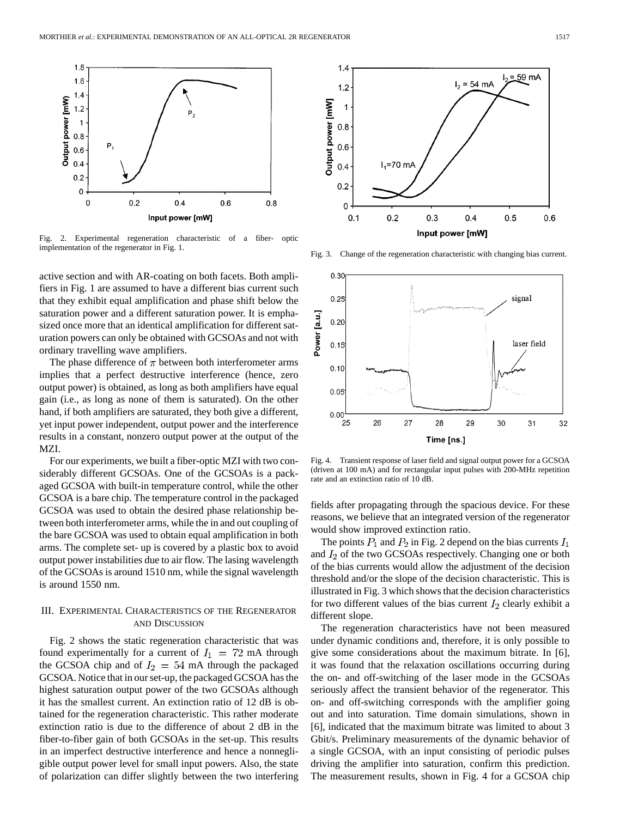

Fig. 2. Experimental regeneration characteristic of a fiber- optic implementation of the regenerator in Fig. 1.

active section and with AR-coating on both facets. Both amplifiers in Fig. 1 are assumed to have a different bias current such that they exhibit equal amplification and phase shift below the saturation power and a different saturation power. It is emphasized once more that an identical amplification for different saturation powers can only be obtained with GCSOAs and not with ordinary travelling wave amplifiers.

The phase difference of  $\pi$  between both interferometer arms implies that a perfect destructive interference (hence, zero output power) is obtained, as long as both amplifiers have equal gain (i.e., as long as none of them is saturated). On the other hand, if both amplifiers are saturated, they both give a different, yet input power independent, output power and the interference results in a constant, nonzero output power at the output of the MZI.

For our experiments, we built a fiber-optic MZI with two considerably different GCSOAs. One of the GCSOAs is a packaged GCSOA with built-in temperature control, while the other GCSOA is a bare chip. The temperature control in the packaged GCSOA was used to obtain the desired phase relationship between both interferometer arms, while the in and out coupling of the bare GCSOA was used to obtain equal amplification in both arms. The complete set- up is covered by a plastic box to avoid output power instabilities due to air flow. The lasing wavelength of the GCSOAs is around 1510 nm, while the signal wavelength is around 1550 nm.

## III. EXPERIMENTAL CHARACTERISTICS OF THE REGENERATOR AND DISCUSSION

Fig. 2 shows the static regeneration characteristic that was found experimentally for a current of  $I_1 = 72$  mA through the GCSOA chip and of  $I_2 = 54$  mA through the packaged GCSOA. Notice that in our set-up, the packaged GCSOA has the highest saturation output power of the two GCSOAs although it has the smallest current. An extinction ratio of 12 dB is obtained for the regeneration characteristic. This rather moderate extinction ratio is due to the difference of about 2 dB in the fiber-to-fiber gain of both GCSOAs in the set-up. This results in an imperfect destructive interference and hence a nonnegligible output power level for small input powers. Also, the state of polarization can differ slightly between the two interfering



Fig. 3. Change of the regeneration characteristic with changing bias current.



Fig. 4. Transient response of laser field and signal output power for a GCSOA (driven at 100 mA) and for rectangular input pulses with 200-MHz repetition rate and an extinction ratio of 10 dB.

fields after propagating through the spacious device. For these reasons, we believe that an integrated version of the regenerator would show improved extinction ratio.

The points  $P_1$  and  $P_2$  in Fig. 2 depend on the bias currents  $I_1$ and  $I_2$  of the two GCSOAs respectively. Changing one or both of the bias currents would allow the adjustment of the decision threshold and/or the slope of the decision characteristic. This is illustrated in Fig. 3 which shows that the decision characteristics for two different values of the bias current  $I_2$  clearly exhibit a different slope.

The regeneration characteristics have not been measured under dynamic conditions and, therefore, it is only possible to give some considerations about the maximum bitrate. In [6], it was found that the relaxation oscillations occurring during the on- and off-switching of the laser mode in the GCSOAs seriously affect the transient behavior of the regenerator. This on- and off-switching corresponds with the amplifier going out and into saturation. Time domain simulations, shown in [6], indicated that the maximum bitrate was limited to about 3 Gbit/s. Preliminary measurements of the dynamic behavior of a single GCSOA, with an input consisting of periodic pulses driving the amplifier into saturation, confirm this prediction. The measurement results, shown in Fig. 4 for a GCSOA chip